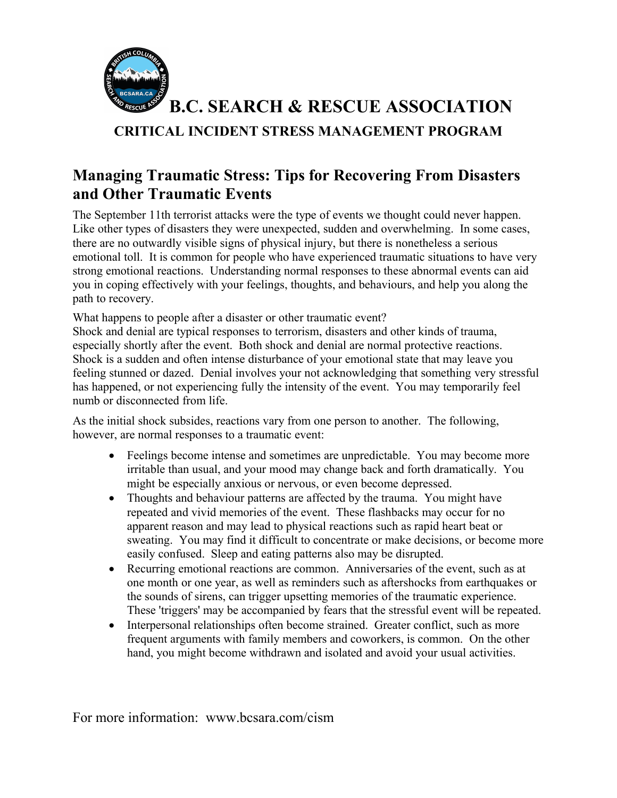

**CRITICAL INCIDENT STRESS MANAGEMENT PROGRAM**

# **Managing Traumatic Stress: Tips for Recovering From Disasters and Other Traumatic Events**

The September 11th terrorist attacks were the type of events we thought could never happen. Like other types of disasters they were unexpected, sudden and overwhelming. In some cases, there are no outwardly visible signs of physical injury, but there is nonetheless a serious emotional toll. It is common for people who have experienced traumatic situations to have very strong emotional reactions. Understanding normal responses to these abnormal events can aid you in coping effectively with your feelings, thoughts, and behaviours, and help you along the path to recovery.

What happens to people after a disaster or other traumatic event?

Shock and denial are typical responses to terrorism, disasters and other kinds of trauma, especially shortly after the event. Both shock and denial are normal protective reactions. Shock is a sudden and often intense disturbance of your emotional state that may leave you feeling stunned or dazed. Denial involves your not acknowledging that something very stressful has happened, or not experiencing fully the intensity of the event. You may temporarily feel numb or disconnected from life.

As the initial shock subsides, reactions vary from one person to another. The following, however, are normal responses to a traumatic event:

- Feelings become intense and sometimes are unpredictable. You may become more irritable than usual, and your mood may change back and forth dramatically. You might be especially anxious or nervous, or even become depressed.
- Thoughts and behaviour patterns are affected by the trauma. You might have repeated and vivid memories of the event. These flashbacks may occur for no apparent reason and may lead to physical reactions such as rapid heart beat or sweating. You may find it difficult to concentrate or make decisions, or become more easily confused. Sleep and eating patterns also may be disrupted.
- Recurring emotional reactions are common. Anniversaries of the event, such as at one month or one year, as well as reminders such as aftershocks from earthquakes or the sounds of sirens, can trigger upsetting memories of the traumatic experience. These 'triggers' may be accompanied by fears that the stressful event will be repeated.
- Interpersonal relationships often become strained. Greater conflict, such as more frequent arguments with family members and coworkers, is common. On the other hand, you might become withdrawn and isolated and avoid your usual activities.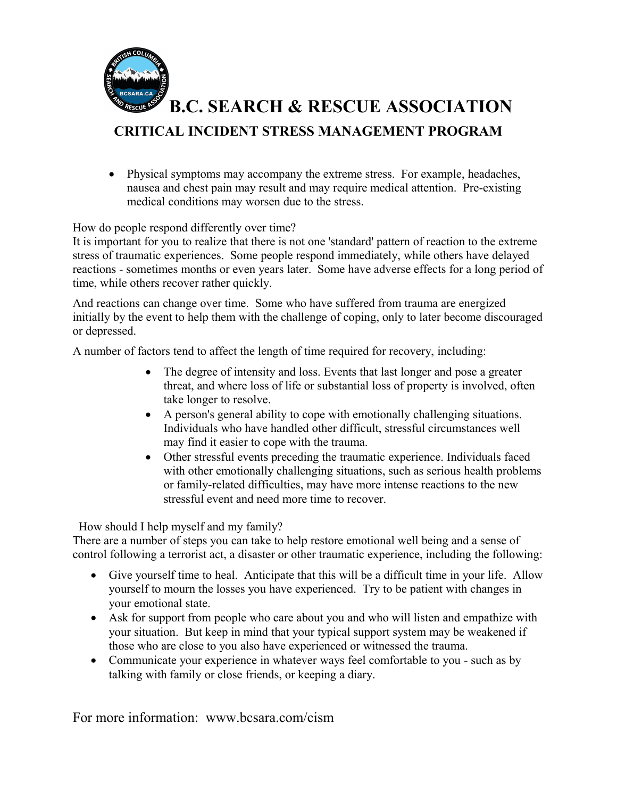

## **CRITICAL INCIDENT STRESS MANAGEMENT PROGRAM**

• Physical symptoms may accompany the extreme stress. For example, headaches, nausea and chest pain may result and may require medical attention. Pre-existing medical conditions may worsen due to the stress.

How do people respond differently over time?

It is important for you to realize that there is not one 'standard' pattern of reaction to the extreme stress of traumatic experiences. Some people respond immediately, while others have delayed reactions - sometimes months or even years later. Some have adverse effects for a long period of time, while others recover rather quickly.

And reactions can change over time. Some who have suffered from trauma are energized initially by the event to help them with the challenge of coping, only to later become discouraged or depressed.

A number of factors tend to affect the length of time required for recovery, including:

- The degree of intensity and loss. Events that last longer and pose a greater threat, and where loss of life or substantial loss of property is involved, often take longer to resolve.
- A person's general ability to cope with emotionally challenging situations. Individuals who have handled other difficult, stressful circumstances well may find it easier to cope with the trauma.
- Other stressful events preceding the traumatic experience. Individuals faced with other emotionally challenging situations, such as serious health problems or family-related difficulties, may have more intense reactions to the new stressful event and need more time to recover.

How should I help myself and my family?

There are a number of steps you can take to help restore emotional well being and a sense of control following a terrorist act, a disaster or other traumatic experience, including the following:

- Give yourself time to heal. Anticipate that this will be a difficult time in your life. Allow yourself to mourn the losses you have experienced. Try to be patient with changes in your emotional state.
- Ask for support from people who care about you and who will listen and empathize with your situation. But keep in mind that your typical support system may be weakened if those who are close to you also have experienced or witnessed the trauma.
- Communicate your experience in whatever ways feel comfortable to you such as by talking with family or close friends, or keeping a diary.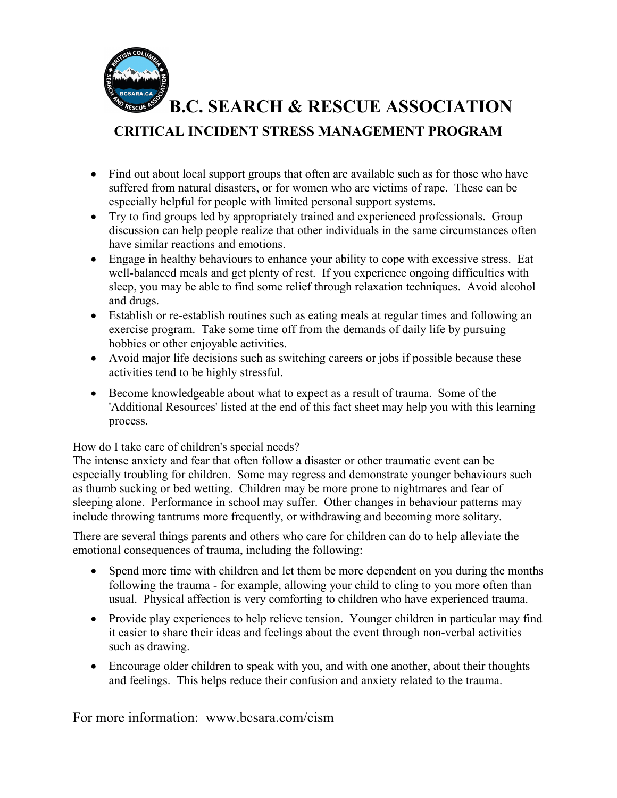

## **CRITICAL INCIDENT STRESS MANAGEMENT PROGRAM**

- Find out about local support groups that often are available such as for those who have suffered from natural disasters, or for women who are victims of rape. These can be especially helpful for people with limited personal support systems.
- Try to find groups led by appropriately trained and experienced professionals. Group discussion can help people realize that other individuals in the same circumstances often have similar reactions and emotions.
- Engage in healthy behaviours to enhance your ability to cope with excessive stress. Eat well-balanced meals and get plenty of rest. If you experience ongoing difficulties with sleep, you may be able to find some relief through relaxation techniques. Avoid alcohol and drugs.
- Establish or re-establish routines such as eating meals at regular times and following an exercise program. Take some time off from the demands of daily life by pursuing hobbies or other enjoyable activities.
- Avoid major life decisions such as switching careers or jobs if possible because these activities tend to be highly stressful.
- Become knowledgeable about what to expect as a result of trauma. Some of the 'Additional Resources' listed at the end of this fact sheet may help you with this learning process.

How do I take care of children's special needs?

The intense anxiety and fear that often follow a disaster or other traumatic event can be especially troubling for children. Some may regress and demonstrate younger behaviours such as thumb sucking or bed wetting. Children may be more prone to nightmares and fear of sleeping alone. Performance in school may suffer. Other changes in behaviour patterns may include throwing tantrums more frequently, or withdrawing and becoming more solitary.

There are several things parents and others who care for children can do to help alleviate the emotional consequences of trauma, including the following:

- Spend more time with children and let them be more dependent on you during the months following the trauma - for example, allowing your child to cling to you more often than usual. Physical affection is very comforting to children who have experienced trauma.
- Provide play experiences to help relieve tension. Younger children in particular may find it easier to share their ideas and feelings about the event through non-verbal activities such as drawing.
- Encourage older children to speak with you, and with one another, about their thoughts and feelings. This helps reduce their confusion and anxiety related to the trauma.